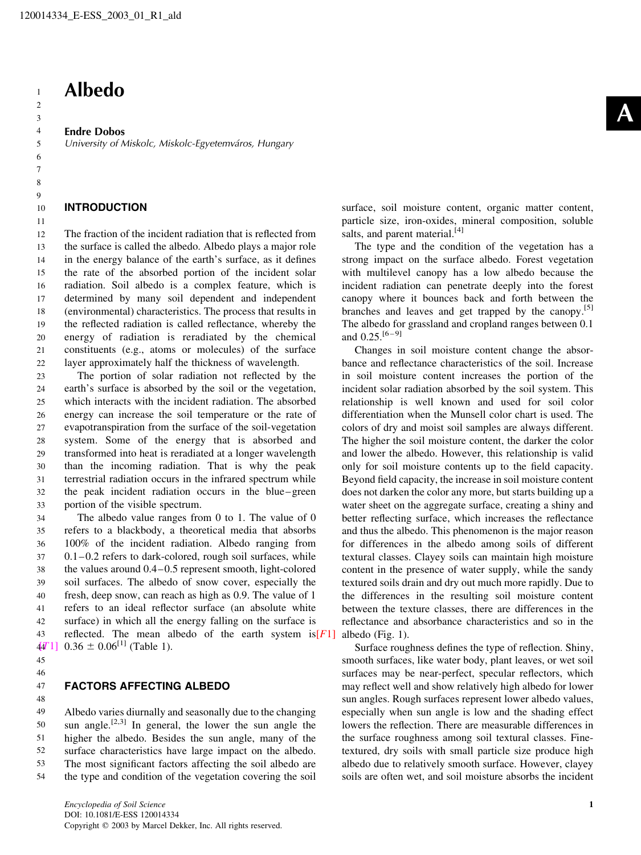# Albedo

11

# Endre Dobos

University of Miskolc, Miskolc-Egyetemváros, Hungary

#### INTRODUCTION 10

The fraction of the incident radiation that is reflected from the surface is called the albedo. Albedo plays a major role in the energy balance of the earth's surface, as it defines the rate of the absorbed portion of the incident solar radiation. Soil albedo is a complex feature, which is determined by many soil dependent and independent (environmental) characteristics. The process that results in the reflected radiation is called reflectance, whereby the energy of radiation is reradiated by the chemical constituents (e.g., atoms or molecules) of the surface layer approximately half the thickness of wavelength. 12 13 14 15 16 17 18 19 20 21  $22$ 

The portion of solar radiation not reflected by the earth's surface is absorbed by the soil or the vegetation, which interacts with the incident radiation. The absorbed energy can increase the soil temperature or the rate of evapotranspiration from the surface of the soil-vegetation system. Some of the energy that is absorbed and transformed into heat is reradiated at a longer wavelength than the incoming radiation. That is why the peak terrestrial radiation occurs in the infrared spectrum while the peak incident radiation occurs in the blue–green portion of the visible spectrum. 23 24 25 26 27 28 29 30 31 32 33

The albedo value ranges from 0 to 1. The value of 0 refers to a blackbody, a theoretical media that absorbs 100% of the incident radiation. Albedo ranging from 0.1–0.2 refers to dark-colored, rough soil surfaces, while the values around 0.4–0.5 represent smooth, light-colored soil surfaces. The albedo of snow cover, especially the fresh, deep snow, can reach as high as 0.9. The value of 1 refers to an ideal reflector surface (an absolute white surface) in which all the energy falling on the surface is reflected. The mean albedo of the earth system is $[F1]$  $[4T1]$  0.36  $\pm$  0.06<sup>[1]</sup> (Table 1). 34 35 36 37 38 39 40 41 42 43  $4T1$ 

45 46

48

#### FACTORS AFFECTING ALBEDO 47

Albedo varies diurnally and seasonally due to the changing sun angle. $[2,3]$  In general, the lower the sun angle the higher the albedo. Besides the sun angle, many of the surface characteristics have large impact on the albedo. The most significant factors affecting the soil albedo are the type and condition of the vegetation covering the soil 49 50 51 52 53 54

surface, soil moisture content, organic matter content, particle size, iron-oxides, mineral composition, soluble salts, and parent material.<sup>[4]</sup>

The type and the condition of the vegetation has a strong impact on the surface albedo. Forest vegetation with multilevel canopy has a low albedo because the incident radiation can penetrate deeply into the forest canopy where it bounces back and forth between the branches and leaves and get trapped by the canopy.<sup>[5]</sup> The albedo for grassland and cropland ranges between 0.1 and  $0.25$ .  $[6-9]$ 

Changes in soil moisture content change the absorbance and reflectance characteristics of the soil. Increase in soil moisture content increases the portion of the incident solar radiation absorbed by the soil system. This relationship is well known and used for soil color differentiation when the Munsell color chart is used. The colors of dry and moist soil samples are always different. The higher the soil moisture content, the darker the color and lower the albedo. However, this relationship is valid only for soil moisture contents up to the field capacity. Beyond field capacity, the increase in soil moisture content does not darken the color any more, but starts building up a water sheet on the aggregate surface, creating a shiny and better reflecting surface, which increases the reflectance and thus the albedo. This phenomenon is the major reason for differences in the albedo among soils of different textural classes. Clayey soils can maintain high moisture content in the presence of water supply, while the sandy textured soils drain and dry out much more rapidly. Due to the differences in the resulting soil moisture content between the texture classes, there are differences in the reflectance and absorbance characteristics and so in the albedo (Fig. 1).

Surface roughness defines the type of reflection. Shiny, smooth surfaces, like water body, plant leaves, or wet soil surfaces may be near-perfect, specular reflectors, which may reflect well and show relatively high albedo for lower sun angles. Rough surfaces represent lower albedo values, especially when sun angle is low and the shading effect lowers the reflection. There are measurable differences in the surface roughness among soil textural classes. Finetextured, dry soils with small particle size produce high albedo due to relatively smooth surface. However, clayey soils are often wet, and soil moisture absorbs the incident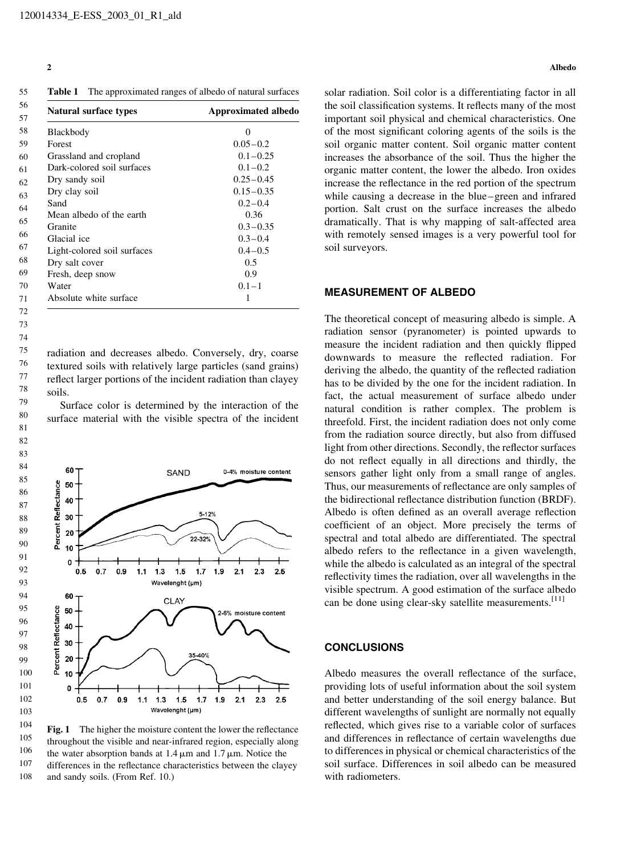Table 1 The approximated ranges of albedo of natural surfaces 55

| Natural surface types       | <b>Approximated albedo</b> |
|-----------------------------|----------------------------|
| Blackbody                   | 0                          |
| Forest                      | $0.05 - 0.2$               |
| Grassland and cropland      | $0.1 - 0.25$               |
| Dark-colored soil surfaces  | $0.1 - 0.2$                |
| Dry sandy soil              | $0.25 - 0.45$              |
| Dry clay soil               | $0.15 - 0.35$              |
| Sand                        | $0.2 - 0.4$                |
| Mean albedo of the earth    | 0.36                       |
| Granite                     | $0.3 - 0.35$               |
| Glacial ice                 | $0.3 - 0.4$                |
| Light-colored soil surfaces | $0.4 - 0.5$                |
| Dry salt cover              | 0.5                        |
| Fresh, deep snow            | 0.9                        |
| Water                       | $0.1 - 1$                  |
| Absolute white surface      | 1                          |

radiation and decreases albedo. Conversely, dry, coarse textured soils with relatively large particles (sand grains) reflect larger portions of the incident radiation than clayey soils.

Surface color is determined by the interaction of the surface material with the visible spectra of the incident



Fig. 1 The higher the moisture content the lower the reflectance throughout the visible and near-infrared region, especially along the water absorption bands at  $1.4 \mu m$  and  $1.7 \mu m$ . Notice the differences in the reflectance characteristics between the clayey and sandy soils. (From Ref. 10.) 105 106 107 108

solar radiation. Soil color is a differentiating factor in all the soil classification systems. It reflects many of the most important soil physical and chemical characteristics. One of the most significant coloring agents of the soils is the soil organic matter content. Soil organic matter content increases the absorbance of the soil. Thus the higher the organic matter content, the lower the albedo. Iron oxides increase the reflectance in the red portion of the spectrum while causing a decrease in the blue–green and infrared portion. Salt crust on the surface increases the albedo dramatically. That is why mapping of salt-affected area with remotely sensed images is a very powerful tool for soil surveyors.

## MEASUREMENT OF ALBEDO

The theoretical concept of measuring albedo is simple. A radiation sensor (pyranometer) is pointed upwards to measure the incident radiation and then quickly flipped downwards to measure the reflected radiation. For deriving the albedo, the quantity of the reflected radiation has to be divided by the one for the incident radiation. In fact, the actual measurement of surface albedo under natural condition is rather complex. The problem is threefold. First, the incident radiation does not only come from the radiation source directly, but also from diffused light from other directions. Secondly, the reflector surfaces do not reflect equally in all directions and thirdly, the sensors gather light only from a small range of angles. Thus, our measurements of reflectance are only samples of the bidirectional reflectance distribution function (BRDF). Albedo is often defined as an overall average reflection coefficient of an object. More precisely the terms of spectral and total albedo are differentiated. The spectral albedo refers to the reflectance in a given wavelength, while the albedo is calculated as an integral of the spectral reflectivity times the radiation, over all wavelengths in the visible spectrum. A good estimation of the surface albedo can be done using clear-sky satellite measurements.<sup>[11]</sup>

## **CONCLUSIONS**

Albedo measures the overall reflectance of the surface, providing lots of useful information about the soil system and better understanding of the soil energy balance. But different wavelengths of sunlight are normally not equally reflected, which gives rise to a variable color of surfaces and differences in reflectance of certain wavelengths due to differences in physical or chemical characteristics of the soil surface. Differences in soil albedo can be measured with radiometers.